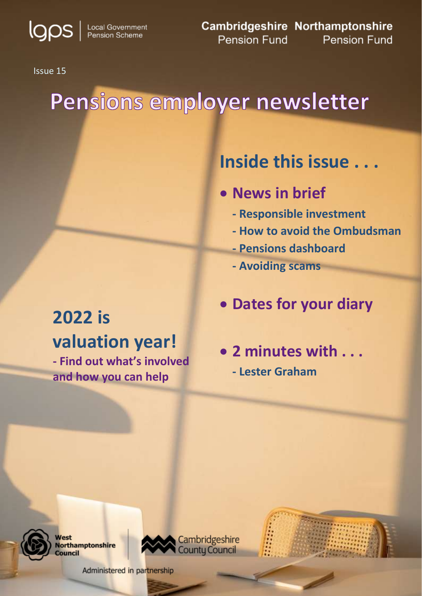**IQOS** | Local Government

**Cambridgeshire Northamptonshire** Pension Fund **Pension Fund** 

Issue 15

# Pensions employer newsletter

## **Inside this issue . . .**

- **News in brief** 
	- **- Responsible investment**
	- **- How to avoid the Ombudsman**
	- **- Pensions dashboard**
	- **- Avoiding scams**

## **Dates for your diary**

## **2022 is valuation year!**

**- Find out what's involved and how you can help**

 **2 minutes with . . . - Lester Graham** 



1

**Nest Northamptonshire** Council



Administered in partnership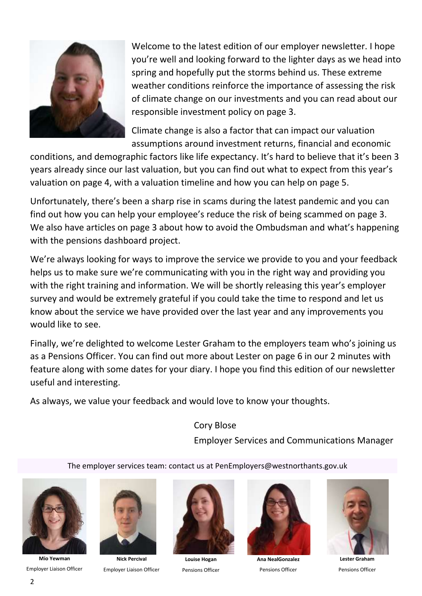

 you're well and looking forward to the lighter days as we head into of climate change on our investments and you can read about our Welcome to the latest edition of our employer newsletter. I hope spring and hopefully put the storms behind us. These extreme weather conditions reinforce the importance of assessing the risk responsible investment policy on page 3.

 Climate change is also a factor that can impact our valuation assumptions around investment returns, financial and economic

 conditions, and demographic factors like life expectancy. It's hard to believe that it's been 3 years already since our last valuation, but you can find out what to expect from this year's valuation on page 4, with a valuation timeline and how you can help on page 5.

 Unfortunately, there's been a sharp rise in scams during the latest pandemic and you can find out how you can help your employee's reduce the risk of being scammed on page 3. We also have articles on page 3 about how to avoid the Ombudsman and what's happening with the pensions dashboard project.

 We're always looking for ways to improve the service we provide to you and your feedback helps us to make sure we're communicating with you in the right way and providing you with the right training and information. We will be shortly releasing this year's employer survey and would be extremely grateful if you could take the time to respond and let us know about the service we have provided over the last year and any improvements you would like to see.

 Finally, we're delighted to welcome Lester Graham to the employers team who's joining us as a Pensions Officer. You can find out more about Lester on page 6 in our 2 minutes with useful and interesting. feature along with some dates for your diary. I hope you find this edition of our newsletter

As always, we value your feedback and would love to know your thoughts.

Cory Blose Employer Services and Communications Manager

The employer services team: contact us at PenEmployers@westnorthants.gov.uk



**Mio Yewman**  Employer Liaison Officer



**Nick Percival**  Employer Liaison Officer



**Louise Hogan**  Pensions Officer



**Ana NealGonzalez**  Pensions Officer



 **Lester Graham**  Pensions Officer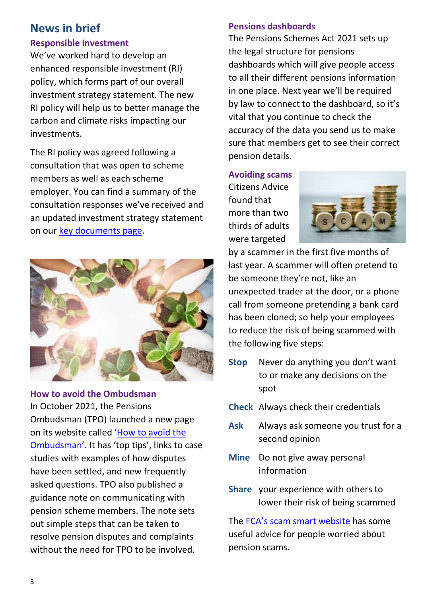## **News in brief**

#### **Responsible investment**

 We've worked hard to develop an carbon and climate risks impacting our enhanced responsible investment (RI) policy, which forms part of our overall investment strategy statement. The new RI policy will help us to better manage the investments.

 The RI policy was agreed following a consultation that was open to scheme members as well as each scheme employer. You can find a summary of the consultation responses we've received and an updated investment strategy statement on our [key documents page.](https://pensions.northamptonshire.gov.uk/governance/key-documents/)



 In October 2021, the Pensions Ombudsman (TPO) launched a new page on its website called '<u>How to avoid the</u> studies with examples of how disputes asked questions. TPO also published a out simple steps that can be taken to without the need for TPO to be involved. **How to avoid the Ombudsman**  [Ombudsman'](https://www.pensions-ombudsman.org.uk/how-avoid-ombudsman). It has 'top tips', links to case have been settled, and new frequently guidance note on communicating with pension scheme members. The note sets resolve pension disputes and complaints

#### **Pensions dashboards**

 The Pensions Schemes Act 2021 sets up vital that you continue to check the accuracy of the data you send us to make sure that members get to see their correct the legal structure for pensions dashboards which will give people access to all their different pensions information in one place. Next year we'll be required by law to connect to the dashboard, so it's pension details.

 more than two **Avoiding scams**  Citizens Advice found that thirds of adults were targeted



 last year. A scammer will often pretend to unexpected trader at the door, or a phone call from someone pretending a bank card has been cloned; so help your employees by a scammer in the first five months of be someone they're not, like an to reduce the risk of being scammed with the following five steps:

- **Stop** Never do anything you don't want to or make any decisions on the spot
- **Check** Always check their credentials
- **Ask** Always ask someone you trust for a second opinion
- **Mine** Do not give away personal information
- **Share** your experience with others to lower their risk of being scammed

 useful advice for people worried about The FCA's scam [smart website](https://www.fca.org.uk/scamsmart) has some pension scams.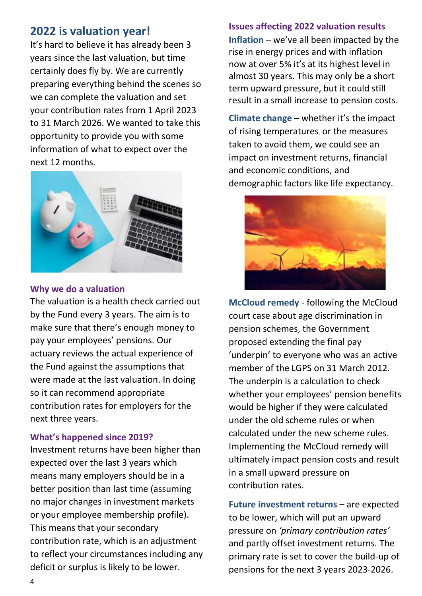## **2022 is valuation year!**

 It's hard to believe it has already been 3 certainly does fly by. We are currently preparing everything behind the scenes so we can complete the valuation and set to 31 March 2026. We wanted to take this years since the last valuation, but time your contribution rates from 1 April 2023 opportunity to provide you with some information of what to expect over the next 12 months.



#### **Why we do a valuation**

 The valuation is a health check carried out by the Fund every 3 years. The aim is to were made at the last valuation. In doing so it can recommend appropriate make sure that there's enough money to pay your employees' pensions. Our actuary reviews the actual experience of the Fund against the assumptions that contribution rates for employers for the next three years.

#### **What's happened since 2019?**

 Investment returns have been higher than no major changes in investment markets contribution rate, which is an adjustment expected over the last 3 years which means many employers should be in a better position than last time (assuming or your employee membership profile). This means that your secondary to reflect your circumstances including any deficit or surplus is likely to be lower.

#### **Issues affecting 2022 valuation results**

 **Inflation** – we've all been impacted by the rise in energy prices and with inflation almost 30 years. This may only be a short now at over 5% it's at its highest level in term upward pressure, but it could still result in a small increase to pension costs.

 and economic conditions, and demographic factors like life expectancy. **Climate change** – whether it's the impact of rising temperatures, or the measures taken to avoid them, we could see an impact on investment returns, financial



 proposed extending the final pay 'underpin' to everyone who was an active member of the LGPS on 31 March 2012. under the old scheme rules or when Implementing the McCloud remedy will ultimately impact pension costs and result **McCloud remedy** - following the McCloud court case about age discrimination in pension schemes, the Government The underpin is a calculation to check whether your employees' pension benefits would be higher if they were calculated calculated under the new scheme rules. in a small upward pressure on contribution rates.

 **Future investment returns** – are expected to be lower, which will put an upward and partly offset investment returns*.* The primary rate is set to cover the build-up of pressure on *'primary contribution rates'* pensions for the next 3 years 2023-2026.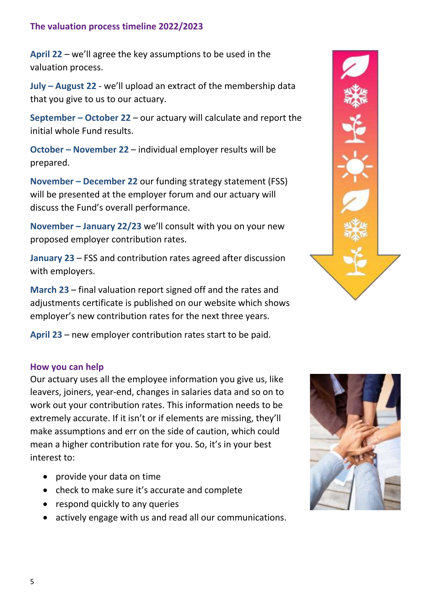#### **The valuation process timeline 2022/2023**

**April 22** – we'll agree the key assumptions to be used in the valuation process.

 **July – August 22** - we'll upload an extract of the membership data that you give to us to our actuary.

 **September – October 22** – our actuary will calculate and report the initial whole Fund results.

**October – November 22** – individual employer results will be prepared.

**November – December 22** our funding strategy statement (FSS) will be presented at the employer forum and our actuary will discuss the Fund's overall performance.

 **November – January 22/23** we'll consult with you on your new proposed employer contribution rates.

**January 23** – FSS and contribution rates agreed after discussion with employers.

 **March 23** – final valuation report signed off and the rates and adjustments certificate is published on our website which shows employer's new contribution rates for the next three years.

**April 23** – new employer contribution rates start to be paid.

#### **How you can help**

 leavers, joiners, year-end, changes in salaries data and so on to extremely accurate. If it isn't or if elements are missing, they'll make assumptions and err on the side of caution, which could mean a higher contribution rate for you. So, it's in your best Our actuary uses all the employee information you give us, like work out your contribution rates. This information needs to be interest to:

- provide your data on time
- check to make sure it's accurate and complete
- respond quickly to any queries
- actively engage with us and read all our communications.